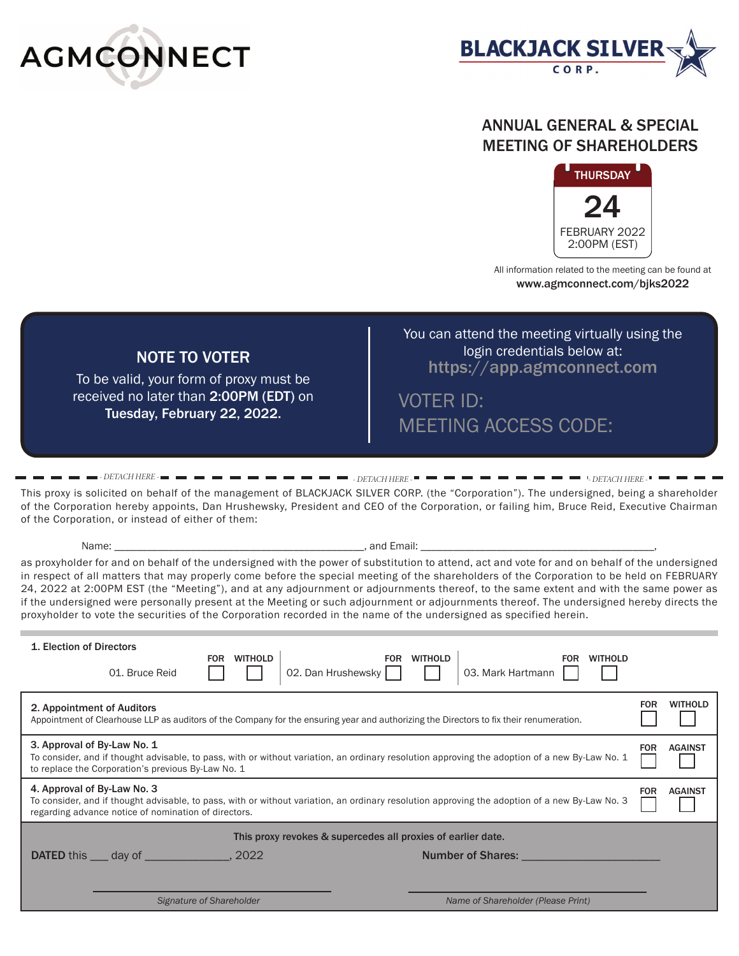



### ANNUAL GENERAL & SPECIAL MEETING OF SHAREHOLDERS



All information related to the meeting can be found at www.agmconnect.com/bjks2022

## NOTE TO VOTER

To be valid, your form of proxy must be received no later than 2:00PM (EDT) on Tuesday, February 22, 2022.

You can attend the meeting virtually using the login credentials below at: https://app.agmconnect.com

VOTER ID: MEETING ACCESS CODE:

*- DETACH HERE - - DETACH HERE - - DETACH HERE -* This proxy is solicited on behalf of the management of BLACKJACK SILVER CORP. (the "Corporation"). The undersigned, being a shareholder of the Corporation hereby appoints, Dan Hrushewsky, President and CEO of the Corporation, or failing him, Bruce Reid, Executive Chairman of the Corporation, or instead of either of them:

Name: \_\_\_\_\_\_\_\_\_\_\_\_\_\_\_\_\_\_\_\_\_\_\_\_\_\_\_\_\_\_\_\_\_\_\_\_\_\_\_\_\_\_\_\_\_\_, and Email: \_\_\_\_\_\_\_\_\_\_\_\_\_\_\_\_\_\_\_\_\_\_\_\_\_\_\_\_\_\_\_\_\_\_\_\_\_\_\_\_\_\_\_,

as proxyholder for and on behalf of the undersigned with the power of substitution to attend, act and vote for and on behalf of the undersigned in respect of all matters that may properly come before the special meeting of the shareholders of the Corporation to be held on FEBRUARY 24, 2022 at 2:00PM EST (the "Meeting"), and at any adjournment or adjournments thereof, to the same extent and with the same power as if the undersigned were personally present at the Meeting or such adjournment or adjournments thereof. The undersigned hereby directs the proxyholder to vote the securities of the Corporation recorded in the name of the undersigned as specified herein.

| 1. Election of Directors<br><b>WITHOLD</b><br><b>WITHOLD</b><br><b>FOR</b><br><b>WITHOLD</b><br><b>FOR</b><br><b>FOR</b><br>02. Dan Hrushewsky<br>03. Mark Hartmann<br>01. Bruce Reid                                                                                 |            |                |  |  |
|-----------------------------------------------------------------------------------------------------------------------------------------------------------------------------------------------------------------------------------------------------------------------|------------|----------------|--|--|
| 2. Appointment of Auditors<br>Appointment of Clearhouse LLP as auditors of the Company for the ensuring year and authorizing the Directors to fix their renumeration.                                                                                                 | <b>FOR</b> | <b>WITHOLD</b> |  |  |
| 3. Approval of By-Law No. 1<br><b>AGAINST</b><br><b>FOR</b><br>To consider, and if thought advisable, to pass, with or without variation, an ordinary resolution approving the adoption of a new By-Law No. 1<br>to replace the Corporation's previous By-Law No. 1   |            |                |  |  |
| 4. Approval of By-Law No. 3<br><b>AGAINST</b><br><b>FOR</b><br>To consider, and if thought advisable, to pass, with or without variation, an ordinary resolution approving the adoption of a new By-Law No. 3<br>regarding advance notice of nomination of directors. |            |                |  |  |
| This proxy revokes & supercedes all proxies of earlier date.                                                                                                                                                                                                          |            |                |  |  |
| <b>Number of Shares:</b>                                                                                                                                                                                                                                              |            |                |  |  |
|                                                                                                                                                                                                                                                                       |            |                |  |  |
| Signature of Shareholder<br>Name of Shareholder (Please Print)                                                                                                                                                                                                        |            |                |  |  |